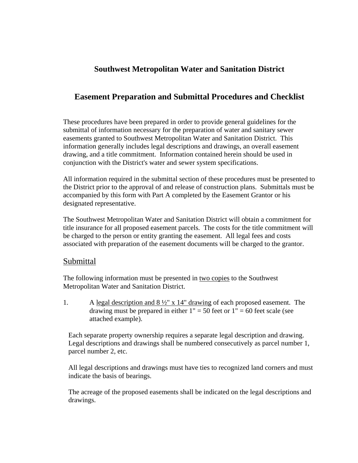## **Southwest Metropolitan Water and Sanitation District**

### **Easement Preparation and Submittal Procedures and Checklist**

These procedures have been prepared in order to provide general guidelines for the submittal of information necessary for the preparation of water and sanitary sewer easements granted to Southwest Metropolitan Water and Sanitation District. This information generally includes legal descriptions and drawings, an overall easement drawing, and a title commitment. Information contained herein should be used in conjunction with the District's water and sewer system specifications.

All information required in the submittal section of these procedures must be presented to the District prior to the approval of and release of construction plans. Submittals must be accompanied by this form with Part A completed by the Easement Grantor or his designated representative.

The Southwest Metropolitan Water and Sanitation District will obtain a commitment for title insurance for all proposed easement parcels. The costs for the title commitment will be charged to the person or entity granting the easement. All legal fees and costs associated with preparation of the easement documents will be charged to the grantor.

#### Submittal

The following information must be presented in <u>two copies</u> to the Southwest Metropolitan Water and Sanitation District.

1. A legal description and 8 ½" x 14" drawing of each proposed easement. The drawing must be prepared in either  $1" = 50$  feet or  $1" = 60$  feet scale (see attached example).

Each separate property ownership requires a separate legal description and drawing. Legal descriptions and drawings shall be numbered consecutively as parcel number 1, parcel number 2, etc.

All legal descriptions and drawings must have ties to recognized land corners and must indicate the basis of bearings.

The acreage of the proposed easements shall be indicated on the legal descriptions and drawings.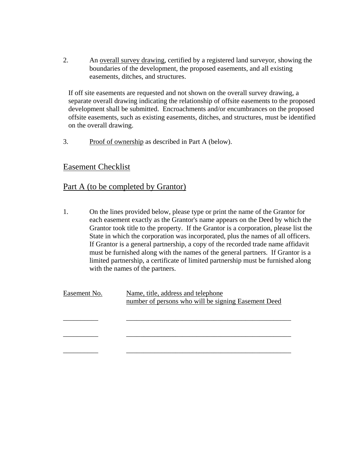2. An overall survey drawing, certified by a registered land surveyor, showing the boundaries of the development, the proposed easements, and all existing easements, ditches, and structures.

If off site easements are requested and not shown on the overall survey drawing, a separate overall drawing indicating the relationship of offsite easements to the proposed development shall be submitted. Encroachments and/or encumbrances on the proposed offsite easements, such as existing easements, ditches, and structures, must be identified on the overall drawing.

3. Proof of ownership as described in Part A (below).

### Easement Checklist

#### Part A (to be completed by Grantor)

1. On the lines provided below, please type or print the name of the Grantor for each easement exactly as the Grantor's name appears on the Deed by which the Grantor took title to the property. If the Grantor is a corporation, please list the State in which the corporation was incorporated, plus the names of all officers. If Grantor is a general partnership, a copy of the recorded trade name affidavit must be furnished along with the names of the general partners. If Grantor is a limited partnership, a certificate of limited partnership must be furnished along with the names of the partners.

| Easement No. | Name, title, address and telephone                  |
|--------------|-----------------------------------------------------|
|              | number of persons who will be signing Easement Deed |
|              |                                                     |
|              |                                                     |
|              |                                                     |
|              |                                                     |
|              |                                                     |
|              |                                                     |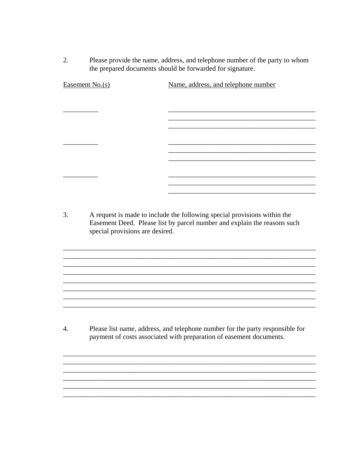2. Please provide the name, address, and telephone number of the party to whom the prepared documents should be forwarded for signature.

| Easement No.(s) | Name, address, and telephone number |
|-----------------|-------------------------------------|
|                 |                                     |
|                 |                                     |
|                 |                                     |
|                 |                                     |
|                 |                                     |
|                 |                                     |
|                 |                                     |
|                 |                                     |
|                 |                                     |
|                 |                                     |

 $3.$ A request is made to include the following special provisions within the Easement Deed. Please list by parcel number and explain the reasons such special provisions are desired.

<u> 1989 - Johann Stoff, deutscher Stoff, der Stoff, der Stoff, der Stoff, der Stoff, der Stoff, der Stoff, der S</u>

 $\overline{4}$ . Please list name, address, and telephone number for the party responsible for payment of costs associated with preparation of easement documents.

<u> 1989 - Johann John Harry Harry Harry Harry Harry Harry Harry Harry Harry Harry Harry Harry Harry Harry Harry</u>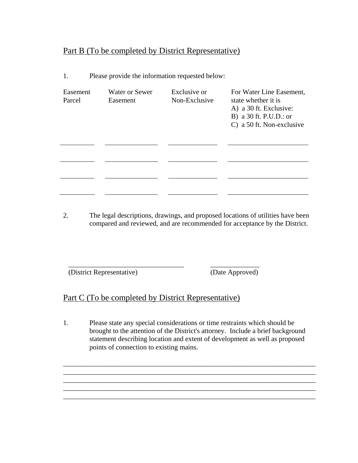# Part B (To be completed by District Representative)

| Easement<br>Parcel | <b>Water or Sewer</b><br>Easement | Exclusive or<br>Non-Exclusive | For Water Line Easement,<br>state whether it is<br>A) a 30 ft. Exclusive:<br>B) a 30 ft. P.U.D.: or<br>C) a 50 ft. Non-exclusive |
|--------------------|-----------------------------------|-------------------------------|----------------------------------------------------------------------------------------------------------------------------------|
|                    |                                   |                               |                                                                                                                                  |
|                    |                                   |                               |                                                                                                                                  |
|                    |                                   |                               |                                                                                                                                  |

1. Please provide the information requested below:

2. The legal descriptions, drawings, and proposed locations of utilities have been compared and reviewed, and are recommended for acceptance by the District.

(District Representative) (Date Approved)

\_\_\_\_\_\_\_\_\_\_\_\_\_\_\_\_\_\_\_\_\_\_\_\_\_\_\_\_\_\_\_\_\_ \_\_\_\_\_\_\_\_\_\_\_\_\_\_

# Part C (To be completed by District Representative)

1. Please state any special considerations or time restraints which should be brought to the attention of the District's attorney. Include a brief background statement describing location and extent of development as well as proposed points of connection to existing mains.

\_\_\_\_\_\_\_\_\_\_\_\_\_\_\_\_\_\_\_\_\_\_\_\_\_\_\_\_\_\_\_\_\_\_\_\_\_\_\_\_\_\_\_\_\_\_\_\_\_\_\_\_\_\_\_\_\_\_\_\_\_\_\_\_\_\_\_\_\_\_\_\_ \_\_\_\_\_\_\_\_\_\_\_\_\_\_\_\_\_\_\_\_\_\_\_\_\_\_\_\_\_\_\_\_\_\_\_\_\_\_\_\_\_\_\_\_\_\_\_\_\_\_\_\_\_\_\_\_\_\_\_\_\_\_\_\_\_\_\_\_\_\_\_\_ \_\_\_\_\_\_\_\_\_\_\_\_\_\_\_\_\_\_\_\_\_\_\_\_\_\_\_\_\_\_\_\_\_\_\_\_\_\_\_\_\_\_\_\_\_\_\_\_\_\_\_\_\_\_\_\_\_\_\_\_\_\_\_\_\_\_\_\_\_\_\_\_ \_\_\_\_\_\_\_\_\_\_\_\_\_\_\_\_\_\_\_\_\_\_\_\_\_\_\_\_\_\_\_\_\_\_\_\_\_\_\_\_\_\_\_\_\_\_\_\_\_\_\_\_\_\_\_\_\_\_\_\_\_\_\_\_\_\_\_\_\_\_\_\_ \_\_\_\_\_\_\_\_\_\_\_\_\_\_\_\_\_\_\_\_\_\_\_\_\_\_\_\_\_\_\_\_\_\_\_\_\_\_\_\_\_\_\_\_\_\_\_\_\_\_\_\_\_\_\_\_\_\_\_\_\_\_\_\_\_\_\_\_\_\_\_\_